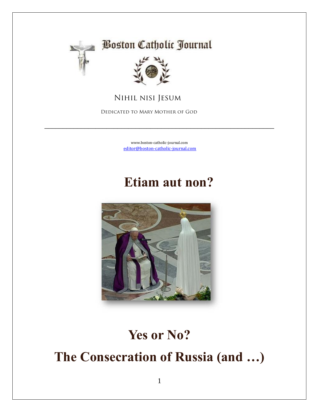

# **Boston Catholic Journal**



 **Nihil nisi Jesum**

 **Dedicated to Mary Mother of God**

[www.boston-catholic-journal.com](http://www.boston-catholic-journal.com/) [editor@boston-catholic-journal.com](mailto:editor@boston-catholic-journal.com)

\_\_\_\_\_\_\_\_\_\_\_\_\_\_\_\_\_\_\_\_\_\_\_\_\_\_\_\_\_\_\_\_\_\_\_\_\_\_\_\_\_\_\_\_\_\_\_\_\_\_\_\_\_\_\_\_\_\_\_\_\_\_\_

# **Etiam aut non?**



# **Yes or No?**

**The Consecration of Russia (and …)**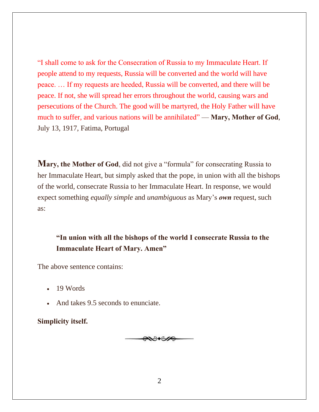"I shall come to ask for the Consecration of Russia to my Immaculate Heart. If people attend to my requests, Russia will be converted and the world will have peace. … If my requests are heeded, Russia will be converted, and there will be peace. If not, she will spread her errors throughout the world, causing wars and persecutions of the Church. The good will be martyred, the Holy Father will have much to suffer, and various nations will be annihilated" — **Mary, Mother of God**, July 13, 1917, Fatima, Portugal

**Mary, the Mother of God**, did not give a "formula" for consecrating Russia to her Immaculate Heart, but simply asked that the pope, in union with all the bishops of the world, consecrate Russia to her Immaculate Heart. In response, we would expect something *equally simple* and *unambiguous* as Mary's *own* request, such as:

**"In union with all the bishops of the world I consecrate Russia to the Immaculate Heart of Mary. Amen"**

The above sentence contains:

- 19 Words
- And takes 9.5 seconds to enunciate.

**Simplicity itself.**

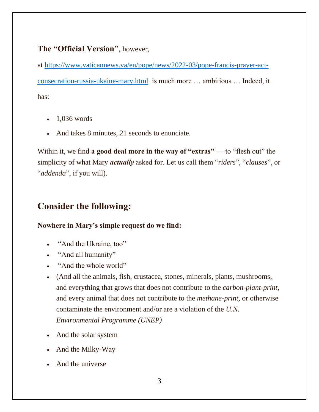### **The "Official Version"**, however,

at [https://www.vaticannews.va/en/pope/news/2022-03/pope-francis-prayer-act](https://www.vaticannews.va/en/pope/news/2022-03/pope-francis-prayer-act-consecration-russia-ukaine-mary.html)[consecration-russia-ukaine-mary.html](https://www.vaticannews.va/en/pope/news/2022-03/pope-francis-prayer-act-consecration-russia-ukaine-mary.html) is much more … ambitious … Indeed, it has:

- 1,036 words
- And takes 8 minutes, 21 seconds to enunciate.

Within it, we find **a good deal more in the way of "extras"** — to "flesh out" the simplicity of what Mary *actually* asked for. Let us call them "*riders*", "*clauses*", or "*addenda*", if you will).

## **Consider the following:**

#### **Nowhere in Mary's simple request do we find:**

- "And the Ukraine, too"
- "And all humanity"
- "And the whole world"
- (And all the animals, fish, crustacea, stones, minerals, plants, mushrooms, and everything that grows that does not contribute to the *carbon-plant-print*, and every animal that does not contribute to the *methane-print*, or otherwise contaminate the environment and/or are a violation of the *U.N. Environmental Programme (UNEP)*
- And the solar system
- And the Milky-Way
- And the universe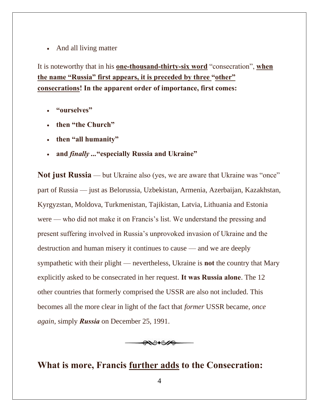• And all living matter

It is noteworthy that in his **one-thousand-thirty-six word** "consecration", **when the name "Russia" first appears, it is preceded by three "other" consecrations! In the apparent order of importance, first comes:**

- **"ourselves"**
- **then "the Church"**
- **then "all humanity"**
- **and** *finally ...***"especially Russia and Ukraine"**

**Not just Russia** — but Ukraine also (yes, we are aware that Ukraine was "once" part of Russia — just as Belorussia, Uzbekistan, Armenia, Azerbaijan, Kazakhstan, Kyrgyzstan, Moldova, Turkmenistan, Tajikistan, Latvia, Lithuania and Estonia were — who did not make it on Francis's list. We understand the pressing and present suffering involved in Russia's unprovoked invasion of Ukraine and the destruction and human misery it continues to cause — and we are deeply sympathetic with their plight — nevertheless, Ukraine is **not** the country that Mary explicitly asked to be consecrated in her request. **It was Russia alone**. The 12 other countries that formerly comprised the USSR are also not included. This becomes all the more clear in light of the fact that *former* USSR became, *once again*, simply *Russia* on December 25, 1991.



## **What is more, Francis further adds to the Consecration:**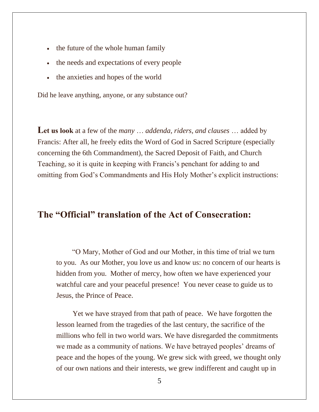- the future of the whole human family
- the needs and expectations of every people
- the anxieties and hopes of the world

Did he leave anything, anyone, or any substance out?

**Let us look** at a few of the *many* … *addenda, riders, and clauses* … added by Francis: After all, he freely edits the Word of God in Sacred Scripture (especially concerning the 6th Commandment), the Sacred Deposit of Faith, and Church Teaching, so it is quite in keeping with Francis's penchant for adding to and omitting from God's Commandments and His Holy Mother's explicit instructions:

### **The "Official" translation of the Act of Consecration:**

 "O Mary, Mother of God and our Mother, in this time of trial we turn to you. As our Mother, you love us and know us: no concern of our hearts is hidden from you. Mother of mercy, how often we have experienced your watchful care and your peaceful presence! You never cease to guide us to Jesus, the Prince of Peace.

 Yet we have strayed from that path of peace. We have forgotten the lesson learned from the tragedies of the last century, the sacrifice of the millions who fell in two world wars. We have disregarded the commitments we made as a community of nations. We have betrayed peoples' dreams of peace and the hopes of the young. We grew sick with greed, we thought only of our own nations and their interests, we grew indifferent and caught up in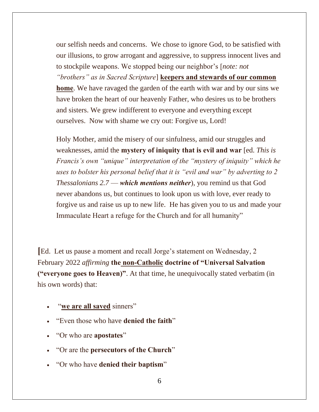our selfish needs and concerns. We chose to ignore God, to be satisfied with our illusions, to grow arrogant and aggressive, to suppress innocent lives and to stockpile weapons. We stopped being our neighbor's [*note: not "brothers" as in Sacred Scripture*] **keepers and stewards of our common home**. We have ravaged the garden of the earth with war and by our sins we have broken the heart of our heavenly Father, who desires us to be brothers and sisters. We grew indifferent to everyone and everything except ourselves. Now with shame we cry out: Forgive us, Lord!

Holy Mother, amid the misery of our sinfulness, amid our struggles and weaknesses, amid the **mystery of iniquity that is evil and war** [ed. *This is Francis's own "unique" interpretation of the "mystery of iniquity" which he uses to bolster his personal belief that it is "evil and war" by adverting to 2 Thessalonians 2.7* — *which mentions neither*), you remind us that God never abandons us, but continues to look upon us with love, ever ready to forgive us and raise us up to new life. He has given you to us and made your Immaculate Heart a refuge for the Church and for all humanity"

**[**Ed. Let us pause a moment and recall Jorge's statement on Wednesday, 2 February 2022 *affirming* **the non-Catholic doctrine of "Universal Salvation ("everyone goes to Heaven)"**. At that time, he unequivocally stated verbatim (in his own words) that:

- "we are all saved sinners"
- "Even those who have **denied the faith**"
- "Or who are **apostates**"
- "Or are the **persecutors of the Church**"
- "Or who have **denied their baptism**"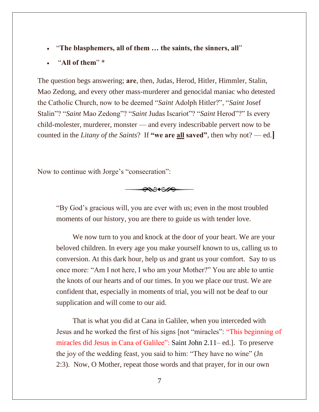- "**The blasphemers, all of them … the saints, the sinners, all**"
- "**All of them**" \*

The question begs answering; **are**, then, Judas, Herod, Hitler, Himmler, Stalin, Mao Zedong, and every other mass-murderer and genocidal maniac who detested the Catholic Church, now to be deemed "*Saint* Adolph Hitler?", "*Saint* Josef Stalin"? "*Saint* Mao Zedong"? "*Saint* Judas Iscariot"? "*Saint* Herod"?" Is every child-molester, murderer, monster — and every indescribable pervert now to be counted in the *Litany of the Saints*? If **"we are all saved"**, then why not? — ed.**]**

Now to continue with Jorge's "consecration":



"By God's gracious will, you are ever with us; even in the most troubled moments of our history, you are there to guide us with tender love.

 We now turn to you and knock at the door of your heart. We are your beloved children. In every age you make yourself known to us, calling us to conversion. At this dark hour, help us and grant us your comfort. Say to us once more: "Am I not here, I who am your Mother?" You are able to untie the knots of our hearts and of our times. In you we place our trust. We are confident that, especially in moments of trial, you will not be deaf to our supplication and will come to our aid.

 That is what you did at Cana in Galilee, when you interceded with Jesus and he worked the first of his signs [not "miracles": "This beginning of miracles did Jesus in Cana of Galilee": Saint John 2.11– ed.]. To preserve the joy of the wedding feast, you said to him: "They have no wine" (Jn 2:3). Now, O Mother, repeat those words and that prayer, for in our own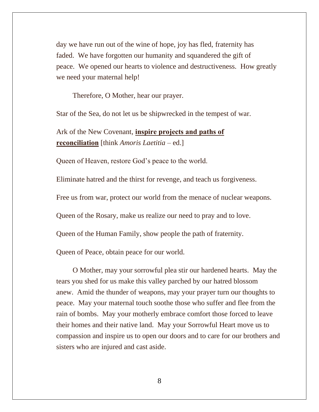day we have run out of the wine of hope, joy has fled, fraternity has faded. We have forgotten our humanity and squandered the gift of peace. We opened our hearts to violence and destructiveness. How greatly we need your maternal help!

Therefore, O Mother, hear our prayer.

Star of the Sea, do not let us be shipwrecked in the tempest of war.

Ark of the New Covenant, **inspire projects and paths of reconciliation** [think *Amoris Laetitia* – ed.]

Queen of Heaven, restore God's peace to the world.

Eliminate hatred and the thirst for revenge, and teach us forgiveness.

Free us from war, protect our world from the menace of nuclear weapons.

Queen of the Rosary, make us realize our need to pray and to love.

Queen of the Human Family, show people the path of fraternity.

Queen of Peace, obtain peace for our world.

 O Mother, may your sorrowful plea stir our hardened hearts. May the tears you shed for us make this valley parched by our hatred blossom anew. Amid the thunder of weapons, may your prayer turn our thoughts to peace. May your maternal touch soothe those who suffer and flee from the rain of bombs. May your motherly embrace comfort those forced to leave their homes and their native land. May your Sorrowful Heart move us to compassion and inspire us to open our doors and to care for our brothers and sisters who are injured and cast aside.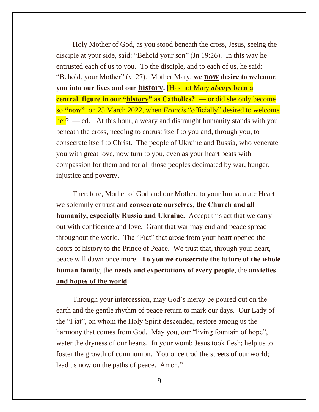Holy Mother of God, as you stood beneath the cross, Jesus, seeing the disciple at your side, said: "Behold your son" (Jn 19:26). In this way he entrusted each of us to you. To the disciple, and to each of us, he said: "Behold, your Mother" (v. 27). Mother Mary, **we now desire to welcome you into our lives and our history.** [Has not Mary *always* **been a central figure in our "history" as Catholics?** — or did she only become so **"now"**, on 25 March 2022, when *Francis* "officially" desired to welcome  $\frac{\partial^2 f}{\partial x^2}$  — ed.] At this hour, a weary and distraught humanity stands with you beneath the cross, needing to entrust itself to you and, through you, to consecrate itself to Christ. The people of Ukraine and Russia, who venerate you with great love, now turn to you, even as your heart beats with compassion for them and for all those peoples decimated by war, hunger, injustice and poverty.

 Therefore, Mother of God and our Mother, to your Immaculate Heart we solemnly entrust and **consecrate ourselves, the Church and all humanity, especially Russia and Ukraine.** Accept this act that we carry out with confidence and love. Grant that war may end and peace spread throughout the world. The "Fiat" that arose from your heart opened the doors of history to the Prince of Peace. We trust that, through your heart, peace will dawn once more. **To you we consecrate the future of the whole human family**, the **needs and expectations of every people**, the **anxieties and hopes of the world**.

 Through your intercession, may God's mercy be poured out on the earth and the gentle rhythm of peace return to mark our days. Our Lady of the "Fiat", on whom the Holy Spirit descended, restore among us the harmony that comes from God. May you, our "living fountain of hope", water the dryness of our hearts. In your womb Jesus took flesh; help us to foster the growth of communion. You once trod the streets of our world; lead us now on the paths of peace. Amen."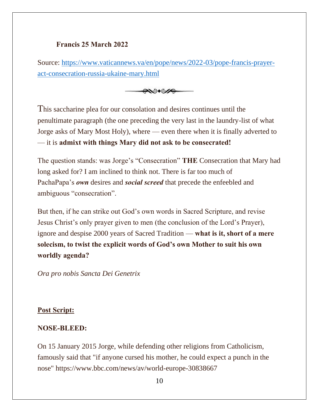#### **Francis 25 March 2022**

Source: [https://www.vaticannews.va/en/pope/news/2022-03/pope-francis-prayer](https://www.vaticannews.va/en/pope/news/2022-03/pope-francis-prayer-act-consecration-russia-ukaine-mary.html)[act-consecration-russia-ukaine-mary.html](https://www.vaticannews.va/en/pope/news/2022-03/pope-francis-prayer-act-consecration-russia-ukaine-mary.html)



This saccharine plea for our consolation and desires continues until the penultimate paragraph (the one preceding the very last in the laundry-list of what Jorge asks of Mary Most Holy), where — even there when it is finally adverted to — it is **admixt with things Mary did not ask to be consecrated!**

The question stands: was Jorge's "Consecration" **THE** Consecration that Mary had long asked for? I am inclined to think not. There is far too much of PachaPapa's *own* desires and *social screed* that precede the enfeebled and ambiguous "consecration".

But then, if he can strike out God's own words in Sacred Scripture, and revise Jesus Christ's only prayer given to men (the conclusion of the Lord's Prayer), ignore and despise 2000 years of Sacred Tradition — **what is it, short of a mere solecism, to twist the explicit words of God's own Mother to suit his own worldly agenda?**

*Ora pro nobis Sancta Dei Genetrix*

#### **Post Script:**

#### **NOSE-BLEED:**

On 15 January 2015 Jorge, while defending other religions from Catholicism, famously said that "if anyone cursed his mother, he could expect a punch in the nose" https://www.bbc.com/news/av/world-europe-30838667